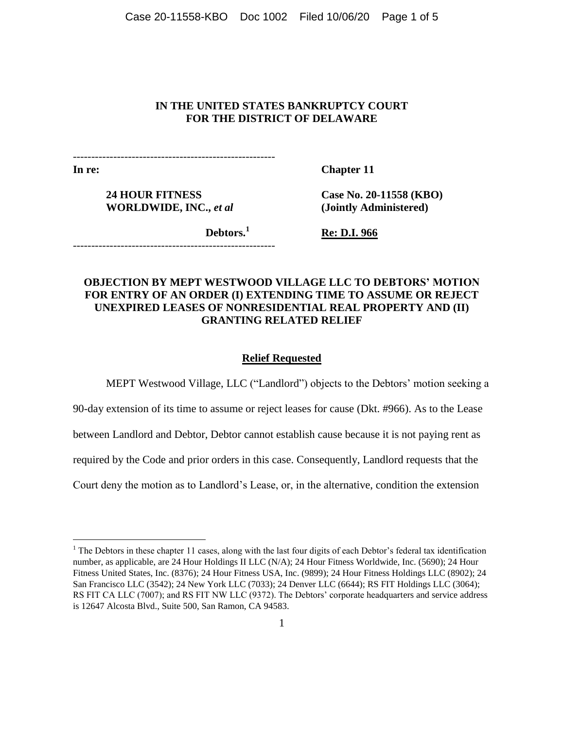Case 20-11558-KBO Doc 1002 Filed 10/06/20 Page 1 of 5

# **IN THE UNITED STATES BANKRUPTCY COURT FOR THE DISTRICT OF DELAWARE**

-------------------------------------------------------

**In re:**

 $\overline{a}$ 

**Chapter 11**

**24 HOUR FITNESS WORLDWIDE, INC.,** *et al*

-------------------------------------------------------

**Case No. 20-11558 (KBO) (Jointly Administered)**

**Debtors.<sup>1</sup>**

**Re: D.I. 966**

# **OBJECTION BY MEPT WESTWOOD VILLAGE LLC TO DEBTORS' MOTION FOR ENTRY OF AN ORDER (I) EXTENDING TIME TO ASSUME OR REJECT UNEXPIRED LEASES OF NONRESIDENTIAL REAL PROPERTY AND (II) GRANTING RELATED RELIEF**

## **Relief Requested**

MEPT Westwood Village, LLC ("Landlord") objects to the Debtors' motion seeking a

90-day extension of its time to assume or reject leases for cause (Dkt. #966). As to the Lease

between Landlord and Debtor, Debtor cannot establish cause because it is not paying rent as

required by the Code and prior orders in this case. Consequently, Landlord requests that the

Court deny the motion as to Landlord's Lease, or, in the alternative, condition the extension

 $<sup>1</sup>$  The Debtors in these chapter 11 cases, along with the last four digits of each Debtor's federal tax identification</sup> number, as applicable, are 24 Hour Holdings II LLC (N/A); 24 Hour Fitness Worldwide, Inc. (5690); 24 Hour Fitness United States, Inc. (8376); 24 Hour Fitness USA, Inc. (9899); 24 Hour Fitness Holdings LLC (8902); 24 San Francisco LLC (3542); 24 New York LLC (7033); 24 Denver LLC (6644); RS FIT Holdings LLC (3064); RS FIT CA LLC (7007); and RS FIT NW LLC (9372). The Debtors' corporate headquarters and service address is 12647 Alcosta Blvd., Suite 500, San Ramon, CA 94583.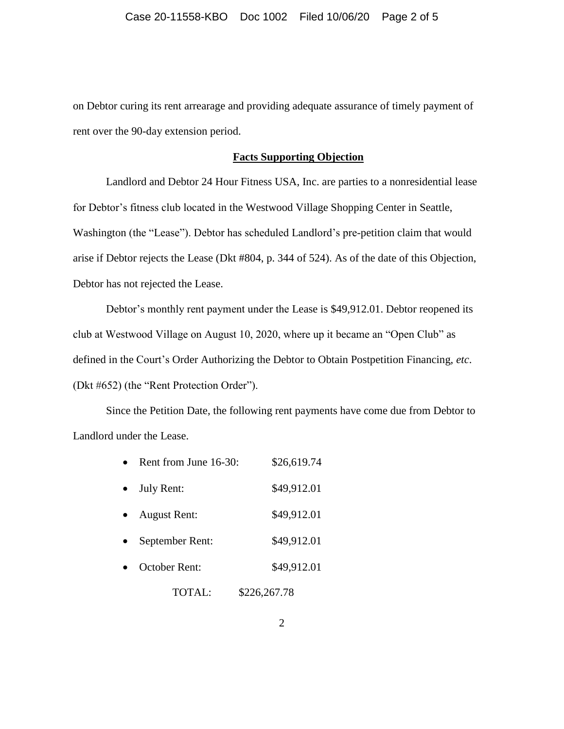on Debtor curing its rent arrearage and providing adequate assurance of timely payment of rent over the 90-day extension period.

## **Facts Supporting Objection**

Landlord and Debtor 24 Hour Fitness USA, Inc. are parties to a nonresidential lease for Debtor's fitness club located in the Westwood Village Shopping Center in Seattle, Washington (the "Lease"). Debtor has scheduled Landlord's pre-petition claim that would arise if Debtor rejects the Lease (Dkt #804, p. 344 of 524). As of the date of this Objection, Debtor has not rejected the Lease.

Debtor's monthly rent payment under the Lease is \$49,912.01. Debtor reopened its club at Westwood Village on August 10, 2020, where up it became an "Open Club" as defined in the Court's Order Authorizing the Debtor to Obtain Postpetition Financing, *etc*. (Dkt #652) (the "Rent Protection Order").

Since the Petition Date, the following rent payments have come due from Debtor to Landlord under the Lease.

| July Rent:          | \$49,912.01  |
|---------------------|--------------|
|                     |              |
| <b>August Rent:</b> | \$49,912.01  |
| September Rent:     | \$49,912.01  |
| October Rent:       | \$49,912.01  |
| TOTAL:              | \$226,267.78 |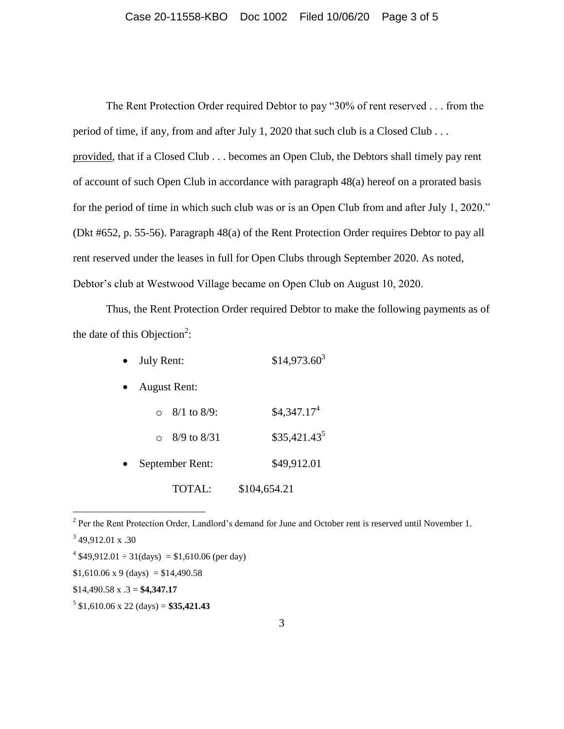The Rent Protection Order required Debtor to pay "30% of rent reserved . . . from the period of time, if any, from and after July 1, 2020 that such club is a Closed Club . . . provided, that if a Closed Club . . . becomes an Open Club, the Debtors shall timely pay rent of account of such Open Club in accordance with paragraph 48(a) hereof on a prorated basis for the period of time in which such club was or is an Open Club from and after July 1, 2020." (Dkt #652, p. 55-56). Paragraph 48(a) of the Rent Protection Order requires Debtor to pay all rent reserved under the leases in full for Open Clubs through September 2020. As noted, Debtor's club at Westwood Village became on Open Club on August 10, 2020.

Thus, the Rent Protection Order required Debtor to make the following payments as of the date of this Objection<sup>2</sup>:

| $\bullet$ July Rent: | $$14,973.60^3$ |
|----------------------|----------------|
|                      |                |

- August Rent:
	- $\circ$  8/1 to 8/9: \$4,347.17<sup>4</sup>
- $\circ$  8/9 to 8/31 \$35,421.43<sup>5</sup> September Rent: \$49,912.01 TOTAL: \$104,654.21

 $\overline{a}$ 

\$14,490.58 x .3 = **\$4,347.17**

 $2^{2}$  Per the Rent Protection Order, Landlord's demand for June and October rent is reserved until November 1.

 $349,912.01 \text{ x } .30$ 

 $4\$ \$49,912.01  $\div$  31(days) = \$1,610.06 (per day)

 $$1,610.06 \times 9 \text{ (days)} = $14,490.58$ 

 $5 \text{ } $1,610.06 \text{ x } 22 \text{ (days)} = $35,421.43$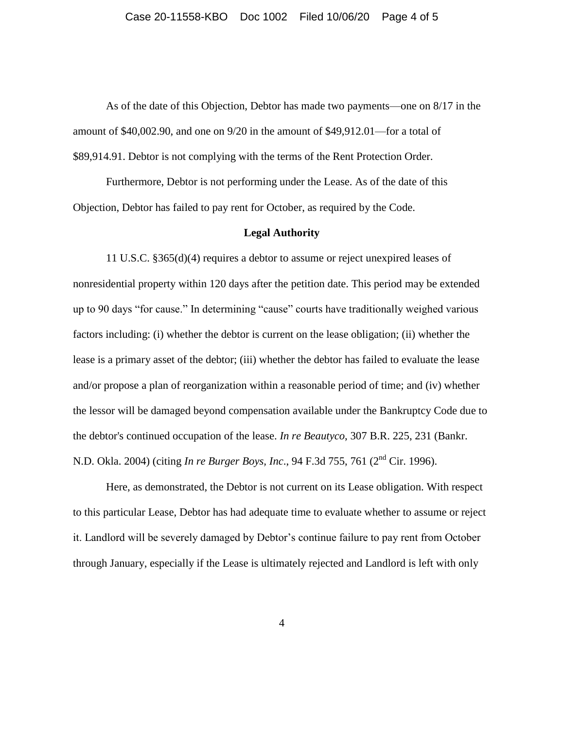As of the date of this Objection, Debtor has made two payments—one on 8/17 in the amount of \$40,002.90, and one on 9/20 in the amount of \$49,912.01—for a total of \$89,914.91. Debtor is not complying with the terms of the Rent Protection Order.

Furthermore, Debtor is not performing under the Lease. As of the date of this Objection, Debtor has failed to pay rent for October, as required by the Code.

### **Legal Authority**

11 U.S.C. §365(d)(4) requires a debtor to assume or reject unexpired leases of nonresidential property within 120 days after the petition date. This period may be extended up to 90 days "for cause." In determining "cause" courts have traditionally weighed various factors including: (i) whether the debtor is current on the lease obligation; (ii) whether the lease is a primary asset of the debtor; (iii) whether the debtor has failed to evaluate the lease and/or propose a plan of reorganization within a reasonable period of time; and (iv) whether the lessor will be damaged beyond compensation available under the Bankruptcy Code due to the debtor's continued occupation of the lease. *In re Beautyco*, 307 B.R. 225, 231 (Bankr. N.D. Okla. 2004) (citing *In re Burger Boys, Inc*., 94 F.3d 755, 761 (2nd Cir. 1996).

Here, as demonstrated, the Debtor is not current on its Lease obligation. With respect to this particular Lease, Debtor has had adequate time to evaluate whether to assume or reject it. Landlord will be severely damaged by Debtor's continue failure to pay rent from October through January, especially if the Lease is ultimately rejected and Landlord is left with only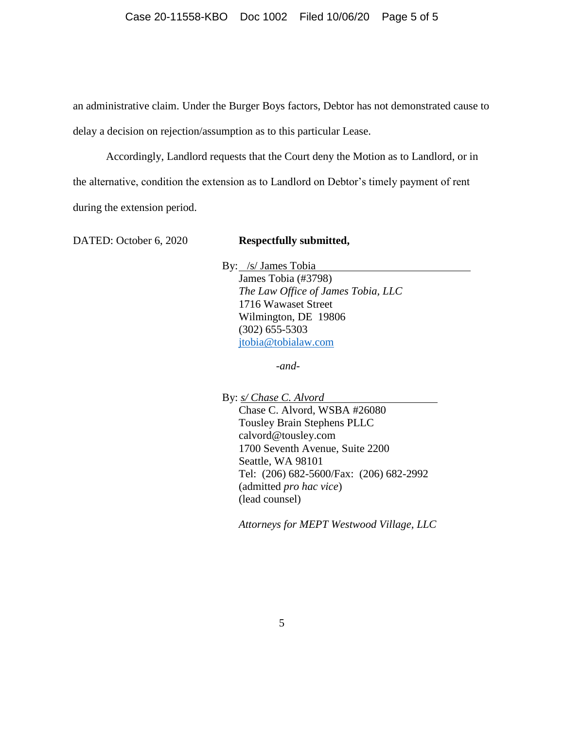an administrative claim. Under the Burger Boys factors, Debtor has not demonstrated cause to delay a decision on rejection/assumption as to this particular Lease.

Accordingly, Landlord requests that the Court deny the Motion as to Landlord, or in the alternative, condition the extension as to Landlord on Debtor's timely payment of rent during the extension period.

DATED: October 6, 2020 **Respectfully submitted,** 

By: /s/ James Tobia James Tobia (#3798) *The Law Office of James Tobia, LLC* 1716 Wawaset Street Wilmington, DE 19806 (302) 655-5303 [jtobia@tobialaw.com](mailto:jtobia@tobialaw.com)

*-and-*

By: *s/ Chase C. Alvord*

Chase C. Alvord, WSBA #26080 Tousley Brain Stephens PLLC calvord@tousley.com 1700 Seventh Avenue, Suite 2200 Seattle, WA 98101 Tel: (206) 682-5600/Fax: (206) 682-2992 (admitted *pro hac vice*) (lead counsel)

*Attorneys for MEPT Westwood Village, LLC*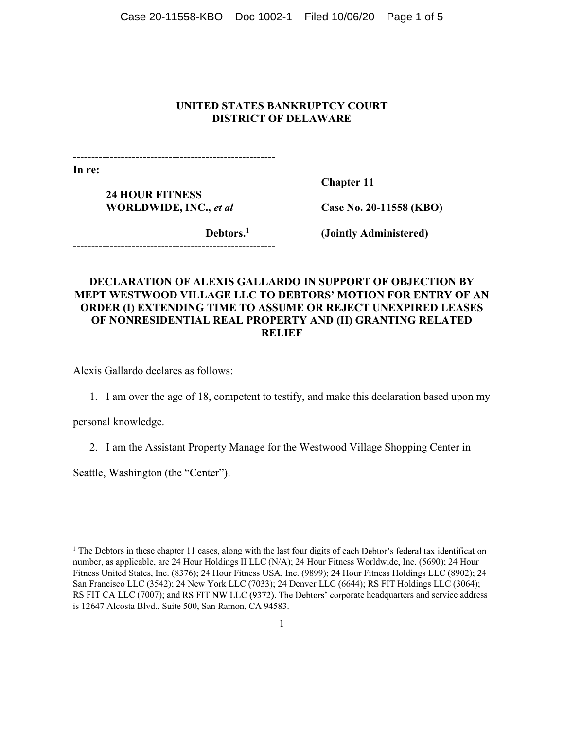Case 20-11558-KBO Doc 1002-1 Filed 10/06/20 Page 1 of 5

# UNITED STATES BANKRUPTCY COURT DISTRICT OF DELAWARE

-------------------------------------------------------

In re:

24 HOUR FITNESS WORLDWIDE, INC., et al 24 HOUR FITNESS<br>WORLDWIDE, INC., *et al* Case No. 20-11558 (KBO)<br>Debtors.<sup>1</sup> (Jointly Administered)

Case No. 20-11558 (KBO)

Debtors.<sup>1</sup> (Jointly Administered)

# DECLARATION OF ALEXIS GALLARDO IN SUPPORT OF OBJECTION BY MEPT WESTWOOD VILLAGE LLC TO DEBTORS' MOTION FOR ENTRY OF AN ORDER (I) EXTENDING TIME TO ASSUME OR REJECT UNEXPIRED LEASES OF NONRESIDENTIAL REAL PROPERTY AND (II) GRANTING RELATED RELIEF

Alexis Gallardo declares as follows:

1. I am over the age of 18, competent to testify, and make this declaration based upon my

personal knowledge.

2. I am the Assistant Property Manage for the Westwood Village Shopping Center in<br>Seattle, Washington (the "Center").<br><sup>1</sup> The Debtor: in these chanter 11 cases, along with the last four digits of each Debtor's federal tax

<sup>&</sup>lt;sup>1</sup> The Debtors in these chapter 11 cases, along with the last four digits of each Debtor's federal tax identification number, as applicable, are 24 Hour Holdings II LLC (N/A); 24 Hour Fitness Worldwide, Inc. (5690); 24 Hour Fitness United States, Inc. (8376); 24 Hour Fitness USA, Inc. (9899); 24 Hour Fitness Holdings LLC (8902); 24 San Francisco LLC (3542); 24 New York LLC (7033); 24 Denver LLC (6644); RS FIT Holdings LLC (3064); RS FIT CA LLC (7007); and RS FIT NW LLC (9372). The Debtors' corporate headquarters and service address is 12647 Alcosta Blvd., Suite 500, San Ramon, CA 94583.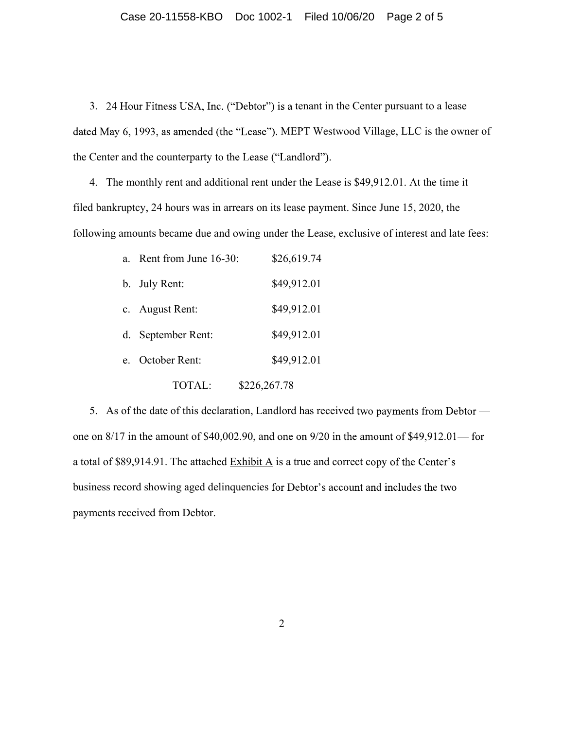### Case 20-11558-KBO Doc 1002-1 Filed 10/06/20 Page 2 of 5

3. 24 Hour Fitness USA, Inc. ("Debtor") is a tenant in the Center pursuant to a lease dated May 6, 1993, as amended (the "Lease"). MEPT Westwood Village, LLC is the owner of the Center and the counterparty to the Lease ("Landlord").

4. The monthly rent and additional rent under the Lease is \$49,912.01. At the time it filed bankruptcy, 24 hours was in arrears on its lease payment. Since June 15, 2020, the following amounts became due and owing under the Lease, exclusive of interest and late fees:

|                | a. Rent from June 16-30: | \$26,619.74  |  |
|----------------|--------------------------|--------------|--|
|                | b. July Rent:            | \$49,912.01  |  |
|                | c. August Rent:          | \$49,912.01  |  |
|                | d. September Rent:       | \$49,912.01  |  |
| e <sub>1</sub> | October Rent:            | \$49,912.01  |  |
|                | TOTAL:                   | \$226,267.78 |  |

5. As of the date of this declaration, Landlord has received two payments from Debtor one on  $8/17$  in the amount of \$40,002.90, and one on  $9/20$  in the amount of \$49,912.01—for a total of \$89,914.91. The attached  $\frac{\text{Exhibit A}}{\text{A}}$  is a true and correct copy of the Center's business record showing aged delinquencies for Debtor's account and includes the two payments received from Debtor.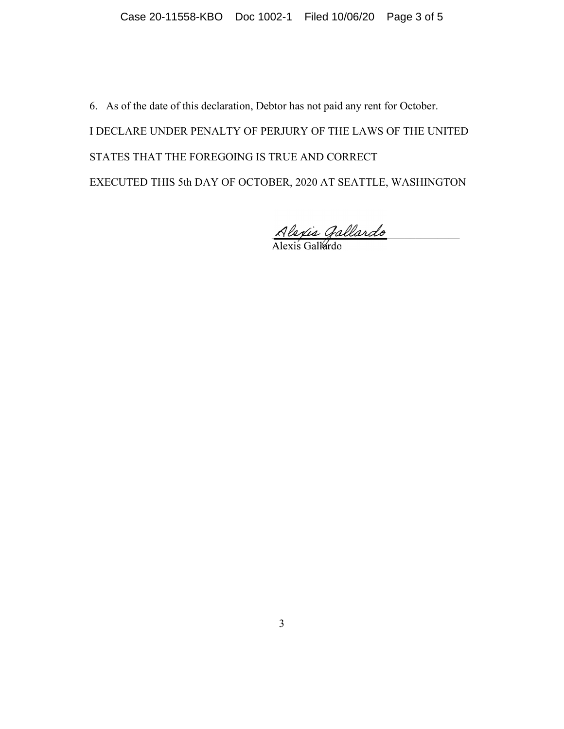Case 20-11558-KBO Doc 1002-1 Filed 10/06/20 Page 3 of 5<br>6. As of the date of this declaration, Debtor has not paid any rent for October.<br>1 DECLARE UNDER PENALTY OF PERJURY OF THE LAWS OF THE UNITED<br>STATES THAT THE FOREGOIN I DECLARE UNDER PENALTY OF PERJURY OF THE LAWS OF THE UNITED STATES THAT THE FOREGOING IS TRUE AND CORRECT EXECUTED THIS 5th DAY OF OCTOBER, 2020 AT SEATTLE, WASHINGTON<br> $\frac{\text{Alexis Gallardo}}{\text{Alexis Gallardo}}$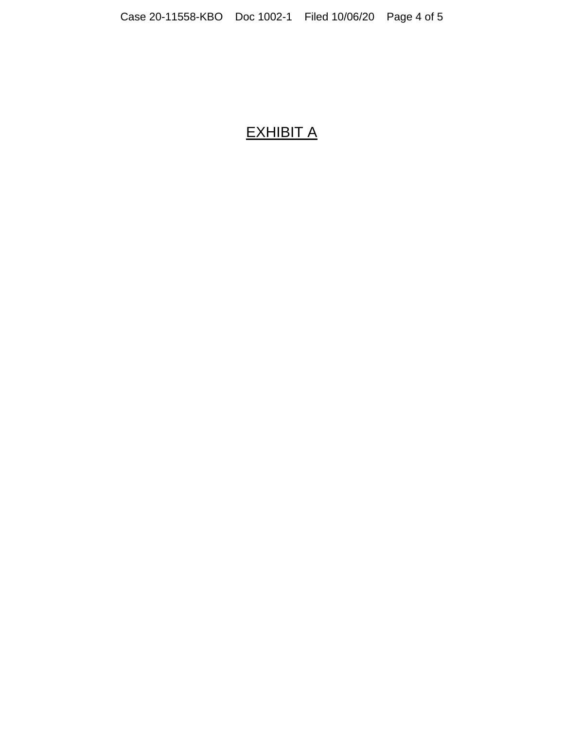# EXHIBIT A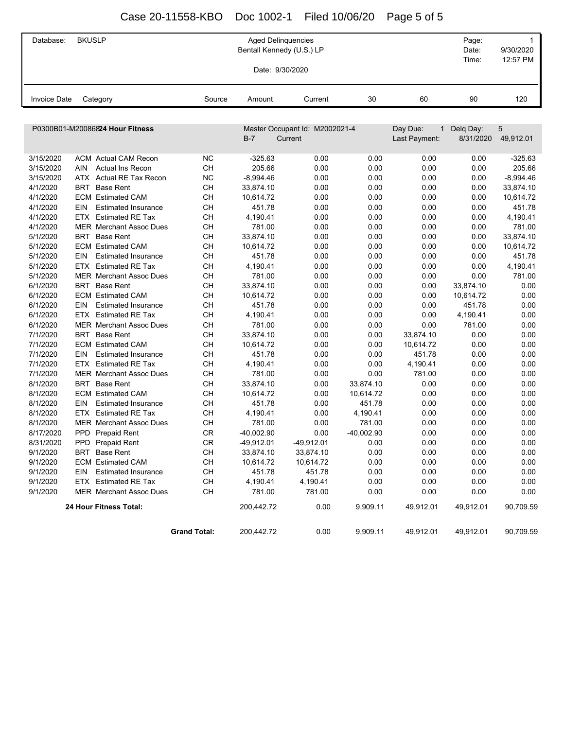# Case 20-11558-KBO Doc 1002-1 Filed 10/06/20 Page 5 of 5

| Database:           | <b>BKUSLP</b>                            |                     | <b>Aged Delinquencies</b><br>Bentall Kennedy (U.S.) LP<br>Date: 9/30/2020 |                                |              |               | Page:<br>Date:<br>Time: | $\mathbf{1}$<br>9/30/2020<br>12:57 PM |
|---------------------|------------------------------------------|---------------------|---------------------------------------------------------------------------|--------------------------------|--------------|---------------|-------------------------|---------------------------------------|
| <b>Invoice Date</b> | Category                                 | Source              | Amount                                                                    | Current                        | 30           | 60            | 90                      | 120                                   |
|                     |                                          |                     |                                                                           |                                |              |               |                         |                                       |
|                     | P0300B01-M20086824 Hour Fitness          |                     |                                                                           | Master Occupant Id: M2002021-4 |              | Day Due:<br>1 | Delq Day:               | 5                                     |
|                     |                                          |                     | $B-7$                                                                     | Current                        |              | Last Payment: | 8/31/2020               | 49,912.01                             |
| 3/15/2020           | <b>ACM</b> Actual CAM Recon              | ΝC                  | $-325.63$                                                                 | 0.00                           | 0.00         | 0.00          | 0.00                    | $-325.63$                             |
| 3/15/2020           | <b>AIN</b><br>Actual Ins Recon           | <b>CH</b>           | 205.66                                                                    | 0.00                           | 0.00         | 0.00          | 0.00                    | 205.66                                |
| 3/15/2020           | ATX<br>Actual RE Tax Recon               | <b>NC</b>           | $-8,994.46$                                                               | 0.00                           | 0.00         | 0.00          | 0.00                    | $-8,994.46$                           |
| 4/1/2020            | <b>Base Rent</b><br><b>BRT</b>           | <b>CH</b>           | 33,874.10                                                                 | 0.00                           | 0.00         | 0.00          | 0.00                    | 33,874.10                             |
| 4/1/2020            | <b>ECM</b> Estimated CAM                 | CH                  | 10,614.72                                                                 | 0.00                           | 0.00         | 0.00          | 0.00                    | 10,614.72                             |
| 4/1/2020            | <b>EIN</b><br><b>Estimated Insurance</b> | <b>CH</b>           | 451.78                                                                    | 0.00                           | 0.00         | 0.00          | 0.00                    | 451.78                                |
| 4/1/2020            | ETX<br><b>Estimated RE Tax</b>           | CH                  | 4,190.41                                                                  | 0.00                           | 0.00         | 0.00          | 0.00                    | 4,190.41                              |
| 4/1/2020            | <b>MER</b> Merchant Assoc Dues           | CH                  | 781.00                                                                    | 0.00                           | 0.00         | 0.00          | 0.00                    | 781.00                                |
| 5/1/2020            | <b>Base Rent</b><br>BRT                  | CH                  | 33,874.10                                                                 | 0.00                           | 0.00         | 0.00          | 0.00                    | 33,874.10                             |
| 5/1/2020            | <b>ECM</b> Estimated CAM                 | <b>CH</b>           | 10,614.72                                                                 | 0.00                           | 0.00         | 0.00          | 0.00                    | 10,614.72                             |
| 5/1/2020            | EIN<br><b>Estimated Insurance</b>        | CH                  | 451.78                                                                    | 0.00                           | 0.00         | 0.00          | 0.00                    | 451.78                                |
| 5/1/2020            | ETX<br><b>Estimated RE Tax</b>           | <b>CH</b>           | 4,190.41                                                                  | 0.00                           | 0.00         | 0.00          | 0.00                    | 4,190.41                              |
| 5/1/2020            | <b>MER</b> Merchant Assoc Dues           | <b>CH</b>           | 781.00                                                                    | 0.00                           | 0.00         | 0.00          | 0.00                    | 781.00                                |
| 6/1/2020            | <b>Base Rent</b><br>BRT                  | CH                  | 33,874.10                                                                 | 0.00                           | 0.00         | 0.00          | 33,874.10               | 0.00                                  |
| 6/1/2020            | <b>ECM</b> Estimated CAM                 | <b>CH</b>           | 10,614.72                                                                 | 0.00                           | 0.00         | 0.00          | 10,614.72               | 0.00                                  |
| 6/1/2020            | EIN<br><b>Estimated Insurance</b>        | <b>CH</b>           | 451.78                                                                    | 0.00                           | 0.00         | 0.00          | 451.78                  | 0.00                                  |
| 6/1/2020            | <b>Estimated RE Tax</b><br>ETX           | CH                  | 4,190.41                                                                  | 0.00                           | 0.00         | 0.00          | 4,190.41                | 0.00                                  |
| 6/1/2020            | <b>MER</b> Merchant Assoc Dues           | CH                  | 781.00                                                                    | 0.00                           | 0.00         | 0.00          | 781.00                  | 0.00                                  |
| 7/1/2020            | <b>Base Rent</b><br>BRT                  | <b>CH</b>           | 33,874.10                                                                 | 0.00                           | 0.00         | 33,874.10     | 0.00                    | 0.00                                  |
| 7/1/2020            | <b>ECM</b> Estimated CAM                 | <b>CH</b>           | 10,614.72                                                                 | 0.00                           | 0.00         | 10,614.72     | 0.00                    | 0.00                                  |
| 7/1/2020            | EIN<br><b>Estimated Insurance</b>        | <b>CH</b>           | 451.78                                                                    | 0.00                           | 0.00         | 451.78        | 0.00                    | 0.00                                  |
| 7/1/2020            | <b>Estimated RE Tax</b><br>ETX.          | <b>CH</b>           | 4,190.41                                                                  | 0.00                           | 0.00         | 4,190.41      | 0.00                    | 0.00                                  |
| 7/1/2020            | <b>MER</b> Merchant Assoc Dues           | <b>CH</b>           | 781.00                                                                    | 0.00                           | 0.00         | 781.00        | 0.00                    | 0.00                                  |
| 8/1/2020            | <b>Base Rent</b><br>BRT                  | <b>CH</b>           | 33,874.10                                                                 | 0.00                           | 33,874.10    | 0.00          | 0.00                    | 0.00                                  |
| 8/1/2020            | <b>ECM</b> Estimated CAM                 | <b>CH</b>           | 10,614.72                                                                 | 0.00                           | 10,614.72    | 0.00          | 0.00                    | 0.00                                  |
| 8/1/2020            | EIN<br><b>Estimated Insurance</b>        | <b>CH</b>           | 451.78                                                                    | 0.00                           | 451.78       | 0.00          | 0.00                    | 0.00                                  |
| 8/1/2020            | <b>Estimated RE Tax</b><br>ETX           | CН                  | 4,190.41                                                                  | 0.00                           | 4,190.41     | 0.00          | 0.00                    | 0.00                                  |
| 8/1/2020            | <b>MER</b> Merchant Assoc Dues           | <b>CH</b>           | 781.00                                                                    | 0.00                           | 781.00       | 0.00          | 0.00                    | 0.00                                  |
| 8/17/2020           | PPD Prepaid Rent                         | <b>CR</b>           | -40,002.90                                                                | 0.00                           | $-40.002.90$ | 0.00          | 0.00                    | 0.00                                  |
| 8/31/2020           | PPD Prepaid Rent                         | CR                  | $-49,912.01$                                                              | -49,912.01                     | 0.00         | 0.00          | 0.00                    | 0.00                                  |
| 9/1/2020            | BRT Base Rent                            | <b>CH</b>           | 33,874.10                                                                 | 33,874.10                      | 0.00         | 0.00          | 0.00                    | 0.00                                  |
| 9/1/2020            | <b>ECM</b> Estimated CAM                 | <b>CH</b>           | 10,614.72                                                                 | 10,614.72                      | 0.00         | 0.00          | 0.00                    | 0.00                                  |
| 9/1/2020            | <b>Estimated Insurance</b><br>EIN        | <b>CH</b>           | 451.78                                                                    | 451.78                         | 0.00         | 0.00          | 0.00                    | 0.00                                  |
| 9/1/2020            | ETX Estimated RE Tax                     | CH                  | 4,190.41                                                                  | 4,190.41                       | 0.00         | 0.00          | 0.00                    | 0.00                                  |
| 9/1/2020            | <b>MER</b> Merchant Assoc Dues           | CH                  | 781.00                                                                    | 781.00                         | 0.00         | 0.00          | 0.00                    | 0.00                                  |
|                     | 24 Hour Fitness Total:                   |                     | 200,442.72                                                                | 0.00                           | 9,909.11     | 49,912.01     | 49,912.01               | 90,709.59                             |
|                     |                                          | <b>Grand Total:</b> | 200,442.72                                                                | 0.00                           | 9,909.11     | 49,912.01     | 49,912.01               | 90,709.59                             |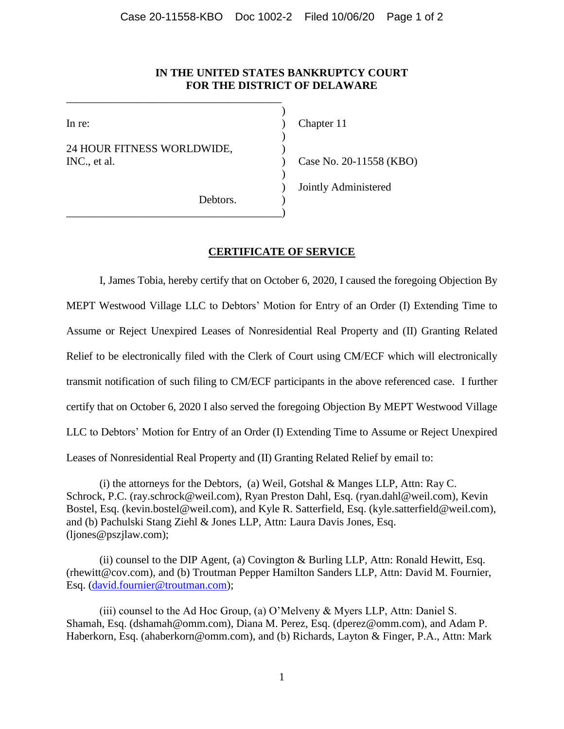# **IN THE UNITED STATES BANKRUPTCY COURT FOR THE DISTRICT OF DELAWARE**

)

)

)

24 HOUR FITNESS WORLDWIDE, INC., et al. ) Case No. 20-11558 (KBO)

\_\_\_\_\_\_\_\_\_\_\_\_\_\_\_\_\_\_\_\_\_\_\_\_\_\_\_\_\_\_\_\_\_\_\_\_\_\_\_

\_\_\_\_\_\_\_\_\_\_\_\_\_\_\_\_\_\_\_\_\_\_\_\_\_\_\_\_\_\_\_\_\_\_\_\_\_\_\_)

In re: (a) Chapter 11 ) Jointly Administered

Debtors.

# **CERTIFICATE OF SERVICE**

I, James Tobia, hereby certify that on October 6, 2020, I caused the foregoing Objection By MEPT Westwood Village LLC to Debtors' Motion for Entry of an Order (I) Extending Time to Assume or Reject Unexpired Leases of Nonresidential Real Property and (II) Granting Related Relief to be electronically filed with the Clerk of Court using CM/ECF which will electronically transmit notification of such filing to CM/ECF participants in the above referenced case. I further certify that on October 6, 2020 I also served the foregoing Objection By MEPT Westwood Village LLC to Debtors' Motion for Entry of an Order (I) Extending Time to Assume or Reject Unexpired Leases of Nonresidential Real Property and (II) Granting Related Relief by email to:

(i) the attorneys for the Debtors, (a) Weil, Gotshal & Manges LLP, Attn: Ray C. Schrock, P.C. (ray.schrock@weil.com), Ryan Preston Dahl, Esq. (ryan.dahl@weil.com), Kevin Bostel, Esq. (kevin.bostel@weil.com), and Kyle R. Satterfield, Esq. (kyle.satterfield@weil.com), and (b) Pachulski Stang Ziehl & Jones LLP, Attn: Laura Davis Jones, Esq. (ljones@pszjlaw.com);

(ii) counsel to the DIP Agent, (a) Covington & Burling LLP, Attn: Ronald Hewitt, Esq. (rhewitt@cov.com), and (b) Troutman Pepper Hamilton Sanders LLP, Attn: David M. Fournier, Esq. [\(david.fournier@troutman.com\)](mailto:david.fournier@troutman.com);

(iii) counsel to the Ad Hoc Group, (a) O'Melveny & Myers LLP, Attn: Daniel S. Shamah, Esq. (dshamah@omm.com), Diana M. Perez, Esq. (dperez@omm.com), and Adam P. Haberkorn, Esq. (ahaberkorn@omm.com), and (b) Richards, Layton & Finger, P.A., Attn: Mark